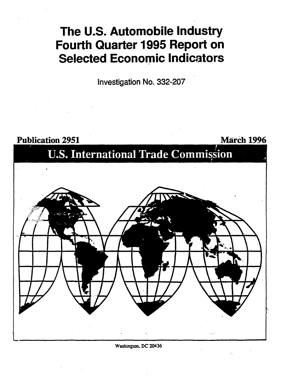# The U.S. Automobile Industry Fourth Quarter 1995 Report on **Selected Economic Indicators**

Investigation No. 332-207



Washington, DC 20436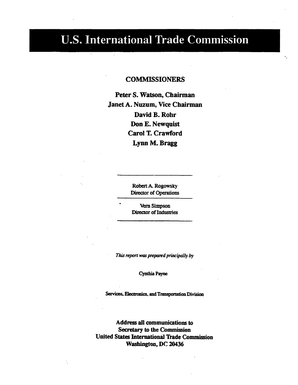## U.S. International Trade Commission

### **COMMISSIONERS**

Peter S. Watson, Chairman Janet A. Nuzum, Vice Chairman David B. Rohr Don E. Newquist Carol T. Crawford Lynn M. Bragg

> Robert A. Rogowsky Director of Operations

Vern Simpson Director of Industries

This *report was* prepared principally by

Cynthia Payne

Services. Electronics. and Transportation Division

Address all communications to Secretary to the Commission United States International Trade Commission Washington, DC 20436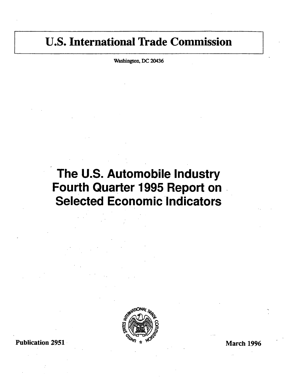# U.S. International Trade Commission

Washington. DC 20436

# The U.S. Automobile Industry Fourth Quarter 1995 Report on , Selected Economic Indicators



Publication 2951 March 1996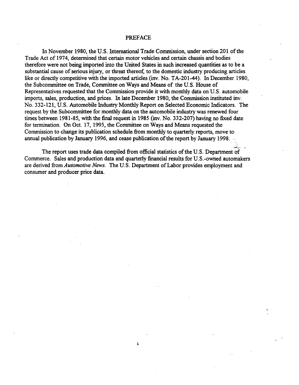#### PREFACE

In November 1980, the U.S. International Trade Commission, under section 201 of the Trade Act of 1974, determined that certain motor vehicles and certain chassis and bodies therefore were not being imported into the United States in such increased quantities as to be a substantial cause of serious injury, or threat thereof, to the domestic industry producing articles like or directly competitive with the imported articles (inv. No. TA-201-44). In December 1980, the Subcommittee on Trade, Committee on Ways and Means of the U.S. House of Representatives requested that the Commission provide it with monthly data on U.S. automobile imports, sales, production, and prices. In late December 1980, the Commission instituted inv. No. 332-121, U.S. Automobile Industry Monthly Report on Selected Economic Indicators. The request by the Subcommittee for monthly data on the automobile industry was renewed four times between 1981-85, with the final request in 1985 (inv. No. 332-207) having no fixed date for termination. On Oct. 17, 1995, the Committee on Ways and Means requested the Commission to change its publication schedule from monthly to quarterly reports, move to annual publication by January 1996, and cease publication of the report by January 1998. --

The report uses trade data compiled from official statistics of the U.S. Department of Commerce. Sales and production data and quarterly financial results for U.S.-owned automakers are derived from *Automotive News.* The U.S. Department of Labor provides employment and consumer and producer price data.

i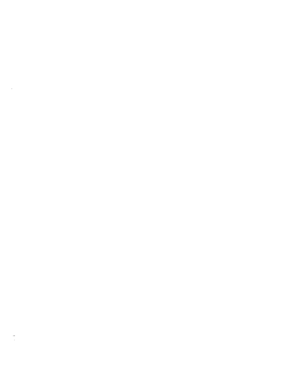$\frac{d\mathbf{r}}{d\mathbf{r}} = \frac{1}{2} \left[ \frac{d\mathbf{r}}{d\mathbf{r}} \right] \label{eq:1}$ 

 $\mathcal{O}(\mathcal{O}_\mathcal{O})$  . The  $\mathcal{O}(\mathcal{O}_\mathcal{O})$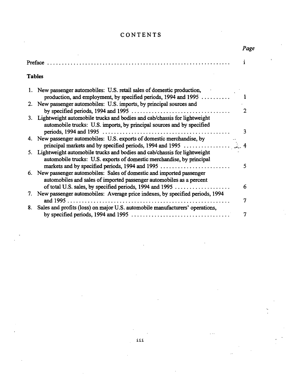### CONTENTS

|    |                                                                                                                                                       | Page           |
|----|-------------------------------------------------------------------------------------------------------------------------------------------------------|----------------|
|    |                                                                                                                                                       |                |
|    | <b>Tables</b>                                                                                                                                         |                |
|    | 1. New passenger automobiles: U.S. retail sales of domestic production,                                                                               |                |
|    | production, and employment, by specified periods, 1994 and 1995                                                                                       |                |
|    | 2. New passenger automobiles: U.S. imports, by principal sources and                                                                                  |                |
|    |                                                                                                                                                       | $\overline{2}$ |
|    | 3. Lightweight automobile trucks and bodies and cab/chassis for lightweight<br>automobile trucks: U.S. imports, by principal sources and by specified |                |
|    |                                                                                                                                                       | 3              |
|    | 4. New passenger automobiles: U.S. exports of domestic merchandise, by                                                                                |                |
|    |                                                                                                                                                       |                |
| 5. | Lightweight automobile trucks and bodies and cab/chassis for lightweight                                                                              |                |
|    | automobile trucks: U.S. exports of domestic merchandise, by principal                                                                                 |                |
|    | markets and by specified periods, 1994 and 1995                                                                                                       | 5              |
| 6. | New passenger automobiles: Sales of domestic and imported passenger                                                                                   |                |
|    | automobiles and sales of imported passenger automobiles as a percent                                                                                  |                |
|    | of total U.S. sales, by specified periods, 1994 and 1995                                                                                              | 6              |
|    | 7. New passenger automobiles: Average price indexes, by specified periods, 1994                                                                       | 7              |
| 8. | Sales and profits (loss) on major U.S. automobile manufacturers' operations,                                                                          |                |
|    |                                                                                                                                                       | 7              |

 $\ddotsc$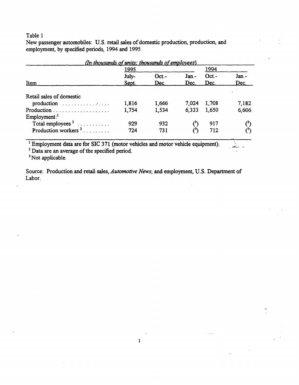New passenger automobiles: U.S. retail sales of domestic production, production, and employment, by specified periods, 1994 and 1995

| (In thousands of units; thousands of employees) |               |          |            |          |        |  |  |  |
|-------------------------------------------------|---------------|----------|------------|----------|--------|--|--|--|
|                                                 | <u> 1995 </u> |          |            | 1994     |        |  |  |  |
|                                                 | July-         | $Oct. -$ | Jan.-      | $Oct. -$ | Jan.-  |  |  |  |
| Item                                            | Sept.         | Dec.     | Dec.       | Dec.     | Dec.   |  |  |  |
|                                                 |               |          |            |          |        |  |  |  |
| Retail sales of domestic                        |               |          |            |          |        |  |  |  |
| production $\ldots \ldots \ldots \ldots$        | 1,816         | 1,666    | 7,024      | 1,708    | 7,182  |  |  |  |
|                                                 | 1,754         | 1,534    | 6,333      | 1,650    | 6,606  |  |  |  |
| Employment: <sup>1</sup>                        |               |          |            |          |        |  |  |  |
| Total employees $2 \ldots \ldots \ldots$        | 929           | 932      | $(\bm{f})$ | 917      |        |  |  |  |
| Production workers <sup>2</sup>                 | 724           | 731      | (*/        | 712      | $\sim$ |  |  |  |

<sup>1</sup> Employment data are for SIC 371 (motor vehicles and motor vehicle equipment). . .:.C:;o.- .,..

<sup>2</sup> Data are an average of the specified period.

<sup>3</sup>Not applicable.

Source: Production and retail sales, *Automotive News;* and employment, U.S. Department of Labor.

1

 $\hat{\mathcal{L}}$  .  $\hat{\mathcal{L}}$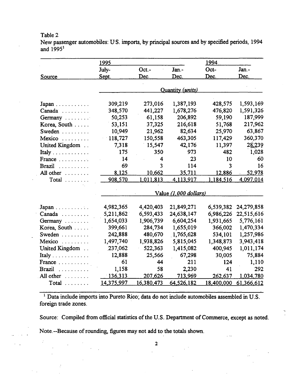$\ddot{\cdot}$ 

New passenger automobiles: US. imports, by principal sources and by specified periods, 1994 and  $1995<sup>1</sup>$ 

|                                                                                                                                       | 1995       |            |                       | 1994                    |            |
|---------------------------------------------------------------------------------------------------------------------------------------|------------|------------|-----------------------|-------------------------|------------|
|                                                                                                                                       | July-      | Oct.-      | Jan.-                 | Oct-                    | Jan.-      |
| <u>Source</u>                                                                                                                         | Sept.      | Dec.       | Dec.                  | Dec.                    | Dec.       |
|                                                                                                                                       |            |            |                       |                         |            |
|                                                                                                                                       |            |            | Quantity (units)      |                         |            |
| Japan                                                                                                                                 | 309,219    | 273,016    | 1,387,193             | 428,575                 | 1,593,169  |
| Canada                                                                                                                                | 348,570    | 441,227    | 1,678,276             | 476,820                 | 1,591,326  |
| Germany                                                                                                                               | 50,253     | 61,158     | 206,892               | 59,190                  | 187,999    |
| Korea, South                                                                                                                          | 53,151     | 37,325     | 216,618               | 51,768                  | 217,962    |
| Sweden $\dots$                                                                                                                        | 10,949     | 21,962     | 82,634                | 25,970                  | 63,867     |
| Mexico<br>.                                                                                                                           | 118,727    | 150,558    | 463,305               | 117,429                 | 360,370    |
| United Kingdom                                                                                                                        | 7,318      | 15,547     | 42,176                | 11,397                  | 28,239     |
| Italy                                                                                                                                 | 175        | 350        | 973                   | 482                     | 1,028      |
| France                                                                                                                                | 14         | 4          | 23                    | 10                      | 60         |
| <b>Brazil</b><br>$\overline{a}$ , $\overline{a}$ , $\overline{a}$ , $\overline{a}$ , $\overline{a}$ , $\overline{a}$ , $\overline{a}$ | 69         | 3          | 114                   | $\overline{\mathbf{3}}$ | 16         |
| All other                                                                                                                             | 8,125      | 10,662     | 35,711                | 12,886                  | 52,978     |
| Total<br>in provincia                                                                                                                 | 908,570    | 1,011,813  | 4,113,917             | 1,184,516               | 4,097,014  |
|                                                                                                                                       |            |            |                       |                         |            |
|                                                                                                                                       |            |            | Value (1,000 dollars) |                         |            |
| Japan                                                                                                                                 | 4,982,365  | 4,420,403  | 21,849,271            | 6,539,382               | 24,279,858 |
| Canada                                                                                                                                | 5,211,862  | 6,593,433  | 24,638,147            | 6,986,226               | 22,515,616 |
| Germany                                                                                                                               | 1,654,033  | 1,906,739  | 6,604,254             | 1,931,665               | 5,776,161  |
| Korea, South                                                                                                                          | 399,661    | 284,734    | 1,655,019             | 366,002                 | 1,470,334  |
| Sweden                                                                                                                                | 242,888    | 480,670    | 1,765,628             | 534,101                 | 1,257,986  |
| Mexico<br>$\sim$                                                                                                                      | 1,497,740  | 1,938,826  | 5,815,045             | 1,348,873               | 3,943,418  |
| <b>United Kingdom</b>                                                                                                                 | 237,062    | 522,363    | 1,415,082             | 400,945                 | 1,011,174  |
| Italy                                                                                                                                 | 12,888     | 25,566     | 67,298                | 30,005                  | 75,884     |
| France                                                                                                                                | 61         | 44         | 211                   | 124                     | 1,110      |
| <b>Brazil</b><br>in de la carte de la                                                                                                 | 1,158      | 58         | 2,230                 | 41                      | 292        |
| All other                                                                                                                             | 136,313    | 207,626    | 713,969               | 262,637                 | 1,034,780  |
| Total<br>.                                                                                                                            | 14,375,997 | 16,380,473 | 64,526,182            | 18,400,000              | 61,366,612 |

<sup>1</sup> Data include imports into Pureto Rico; data do not include automobiles assembled in U.S. foreign trade zones.

Source: Compiled from official statistics of the U.S. Department of Commerce, except as noted.

Note.--Because of rounding, figures may not add to the totals shown.

2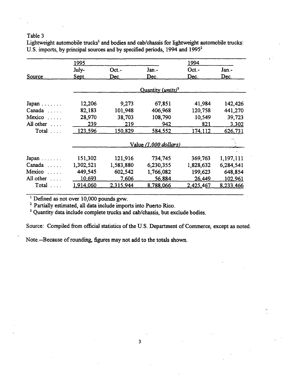Lightweight automobile trucks<sup>1</sup> and bodies and cab/chassis for lightweight automobile trucks: U.S. imports, by principal sources and by specified periods, 1994 and 1995<sup>2</sup>

|                    | <u>1995</u> |           |                                        | 1994      |           |
|--------------------|-------------|-----------|----------------------------------------|-----------|-----------|
|                    | July-       | Oct.-     | Jan.-                                  | Oct.-     | Jan.-     |
| Source             | Sept.       | Dec.      | Dec.                                   | Dec.      | Dec.      |
|                    |             |           | Quantity ( <i>units</i> ) <sup>3</sup> |           |           |
| Japan              | 12,206      | 9,273     | 67,851                                 | 41,984    | 142,426   |
| $Canada \dots$     | 82,183      | 101,948   | 406,968                                | 120,758   | 441,270   |
| Mexico             | 28,970      | 38,703    | 108,790                                | 10,549    | 39,723    |
| All other          | 239         | 219       | 942                                    | 821       | 3,302     |
| Total $\ldots$     | 123,596     | 150,829   | 584,552                                | 174,112   | 626,731   |
|                    |             |           | Value (1,000 dollars)                  |           |           |
| Japan              | 151,302     | 121,916   | 734,745                                | 369,763   | 1,197,111 |
| $Canada \dots$     | 1,302,521   | 1,583,880 | 6,230,355                              | 1,828,632 | 6,284,541 |
| Mexico             | 449,545     | 602,542   | 1,766,082                              | 199,623   | 648,854   |
| All other $\ldots$ | 10,693      | 7,606     | 56,884                                 | 26,449    | 102,961   |
| Total $\ldots$     | 1,914,060   | 2,315,944 | 8,788,066                              | 2,425,467 | 8,233,466 |

 $1$  Defined as not over 10,000 pounds gvw.

<sup>2</sup> Partially estimated, all data include imports into Puerto Rico.

<sup>3</sup> Quantity data include complete trucks and cab/chassis, but exclude bodies.

Source: Compiled from official statistics of the U.S. Department of Commerce, except as noted.

Note.--Because of rounding, figures may not add to the totals shown.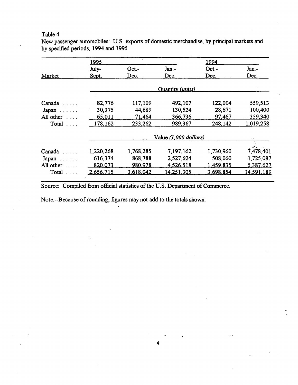New passenger automobiles: U.S. exports of domestic merchandise, by principal markets and by specified periods, 1994 and 1995

|                     | 1995      |           |                       | 1994      |            |
|---------------------|-----------|-----------|-----------------------|-----------|------------|
|                     | July-     | $Oct. -$  | Jan.-                 | $Oct. -$  | Jan.-      |
| Market              | Sept.     | Dec.      | Dec.                  | Dec.      | Dec.       |
|                     |           |           | Quantity (units)      |           |            |
| Canada              | 82,776    | 117,109   | 492,107               | 122,004   | 559,513    |
| $Japan \dots \dots$ | 30,375    | 44,689    | 130,524               | 28,671    | 100,400    |
| All other           | 65,011    | 71,464    | 366,736               | 97,467    | 359,340    |
| Total               | 178,162   | 233,262   | 989,367               | 248,142   | 1,019,258  |
|                     |           |           | Value (1,000 dollars) |           |            |
| Canada              | 1,220,268 | 1,768,285 | 7,197,162             | 1,730,960 | 7,478,401  |
| $Japan \dots \dots$ | 616,374   | 868,788   | 2,527,624             | 508,060   | 1,725,087  |
| All other $\dots$   | 820,073   | 980,978   | 4,526,518             | 1,459,835 | 5,387,627  |
| Total               | 2,656,715 | 3,618,042 | 14,251,305            | 3,698,854 | 14,591,189 |

Source: Compiled from official statistics of the U.S. Department of Commerce.

Note.--Because of rounding, figures may not add to the totals shown.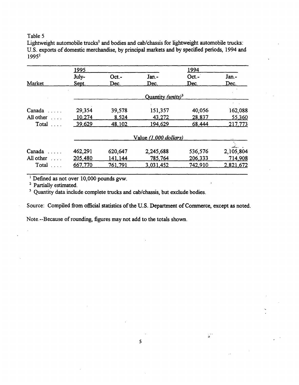Lightweight automobile trucks<sup>1</sup> and bodies and cab/chassis for lightweight automobile trucks: U.S. exports of domestic merchandise, by principal markets and by specified periods, 1994 and 1995<sup>2</sup>

|                   | 1995    |         |                               | 1994    |           |
|-------------------|---------|---------|-------------------------------|---------|-----------|
|                   | July-   | $Oct.-$ | Jan.-                         | $Oct.-$ | Jan.-     |
| Market            | Sept.   | Dec.    | Dec.                          | Dec.    | Dec.      |
|                   |         |         | Quantity (units) <sup>3</sup> |         |           |
|                   |         |         |                               |         |           |
| $Canada \dots$    | 29,354  | 39,578  | 151,357                       | 40,056  | 162,088   |
| All other $\dots$ | 10,274  | 8,524   | 43,272                        | 28,837  | 55,360    |
| $Total \dots$     | 39,629  | 48,102  | 194,629                       | 68,444  | 217,773   |
|                   |         |         | Value (1,000 dollars)         |         |           |
|                   |         |         |                               |         |           |
| $Canada \dots$    | 462,291 | 620,647 | 2,245,688                     | 536,576 | 2,105,804 |
| All other         | 205,480 | 141,144 | 785,764                       | 206,333 | 714,908   |
| Total             | 667,770 | 761,791 | 3,031,452                     | 742,910 | 2,821,672 |

<sup>1</sup> Defined as not over 10,000 pounds gvw.

<sup>2</sup> Partially estimated.

<sup>3</sup> Quantity data include complete trucks and cab/chassis, but exclude bodies.

Source: Compiled from official statistics of the U.S. Department of Commerce, except as noted.

Note.--Because of rounding, figures may not add to the totals shown.

*0*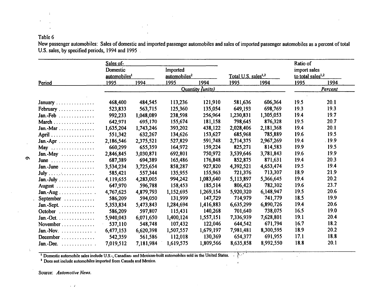$\ddot{\phantom{a}}$ 

New passenger automobiles: Sales of domestic and imported passenger automobiles and sales of imported passenger automobiles as a percent of total U.S. sales, by specified periods, 1994 and 1995 .

|                                                    | Sales of-<br>Domestic<br>automobiles <sup>1</sup> |           | Imported<br>automobiles <sup>2</sup> |                  | Total U.S. sales <sup>1,2</sup> |           | Ratio of<br>import sales<br>to total sales <sup>1,2</sup> |         |
|----------------------------------------------------|---------------------------------------------------|-----------|--------------------------------------|------------------|---------------------------------|-----------|-----------------------------------------------------------|---------|
| Period                                             | 1995                                              | 1994      | 1995                                 | 1994             | 1995                            | 1994      | 1995                                                      | 1994    |
|                                                    |                                                   |           |                                      | Quantity (units) |                                 |           |                                                           | Percent |
| January                                            | 468,400                                           | 484,545   | 113,236                              | 121,910          | 581,636                         | 606,364   | 19.5                                                      | 20.1    |
| February                                           | 523,833                                           | 563,715   | 125,360                              | 135,054          | 649,193                         | 698,769   | 19.3                                                      | 19.3    |
| $Jan.-Feb \dots \dots \dots \dots \dots$           | 992,233                                           | 1,048,089 | 238,598                              | 256,964          | 1,230,831                       | 1,305,053 | 19.4                                                      | 19.7    |
| March                                              | 642,971                                           | 695,170   | 155,674                              | 181,158          | 798,645                         | 876,328   | 19.5                                                      | 20.7    |
| $Jan.-Mar$                                         | 1,635,204                                         | 1,743,246 | 393,202                              | 438,122          | 2,028,406                       | 2,181,368 | 19.4                                                      | 20.1    |
| April                                              | 551,342                                           | 632,267   | 134,626                              | 153,627          | 685,968                         | 785,889   | 19.6                                                      | 19.5    |
|                                                    | 2,186,546                                         | 2,375,521 | 527,829                              | 591,748          | 2,714,375                       | 2,967,269 | 19.4                                                      | .19.9   |
| $\mathbf{May} \dots \dots \dots \dots \dots \dots$ | 660,299                                           | 655,359   | 164,972                              | 159,224          | 825,271                         | 814,583   | 19.9                                                      | 19.5    |
| $Jan.-May \ldots \ldots \ldots$                    | 2,846,845                                         | 3,030,871 | 692,801                              | 750,972          | 3,539,646                       | 3,781,843 | 19.6                                                      | 19.9    |
| June                                               | 687,389                                           | 694,389   | 165,486                              | 176,848          | 852,875                         | 871,631   | 19.4                                                      | 20.3    |
| $Jan.-June \dots \dots \dots \dots$                | 3,534,234                                         | 3,725,654 | 858,287                              | 927,820          | 4,392,521                       | 4,653,474 | 19.5                                                      | 19.4    |
|                                                    | 585,421                                           | 557,344   | 135,955                              | 155,963          | 721,376                         | 713,307   | 18.9                                                      | 21.9    |
| $Jan.-July \ldots \ldots \ldots \ldots$            | 4,119,655                                         | 4,283,005 | 994,242                              | 1,083,640        | 5,113,897                       | 5,366,645 | 19.4                                                      | 20.2    |
| August                                             | 647,970                                           | 596,788   | 158,453                              | 185,514          | 806,423                         | 782,302   | 19.6                                                      | 23.7    |
| $Jan.-Aug \ldots \ldots \ldots$                    | 4,767,625                                         | 4,879,793 | 1,152,695                            | 1,269,154        | 5,920,320                       | 6,148,947 | 19.5                                                      | 20.6    |
| September $\dots\dots\dots\dots$                   | 586,209                                           | 594,050   | 131,999                              | 147,729          | 714,979                         | 741,779   | 18.5                                                      | 19.9    |
| $Jan.-Sept. \ldots \ldots \ldots$                  | 5,353,834                                         | 5,473,843 | 1,284,694                            | 1,416,883        | 6,635,299                       | 6,890,726 | 19.4                                                      | 20.6    |
| $October \dots \dots \dots \dots$                  | 586,209                                           | 597,807   | 115,431                              | 140,268          | 701,640                         | 738,075   | 16.5                                                      | 19.0    |
| $Jan.-Oct. \ldots \ldots \ldots \ldots$            | 5,940,043                                         | 6,071,650 | 1,400,124                            | 1,557,151        | 7,336,939                       | 7,628,801 | 19.1                                                      | 20.4    |
| November                                           | 537,110                                           | 548,748   | 107,432                              | 122,046          | 644,542                         | 671,794   | 16.7                                                      | 18.2    |
| $Jan.-Nov. \ldots \ldots \ldots$                   | 6,477,153                                         | 6,620,398 | 1,507,557                            | 1,679,197        | 7,981,481                       | 8,300,595 | 18.9                                                      | 20.2    |
| December $\dots\dots\dots\dots\dots$               | 542,359                                           | 561,586   | 112,018                              | 130,369          | 654,377                         | 691,955   | 17.1                                                      | 18.8    |
| $Jan.-Dec.$                                        | 7,019,512                                         | 7,181,984 | 1,619,575                            | 1,809,566        | 8,635,858                       | 8,992,550 | 18.8                                                      | 20.1    |

 $\mathcal{L}$ 

I Domestic automobile sales include U.S.-, Canadian- and Mexican-built automobiles sold in the United States. In Register and the United States. In the United States. In the United States. In the United States. In the Unit

Source: **Automotive News.** 

. .

 $\ddot{\cdot}$